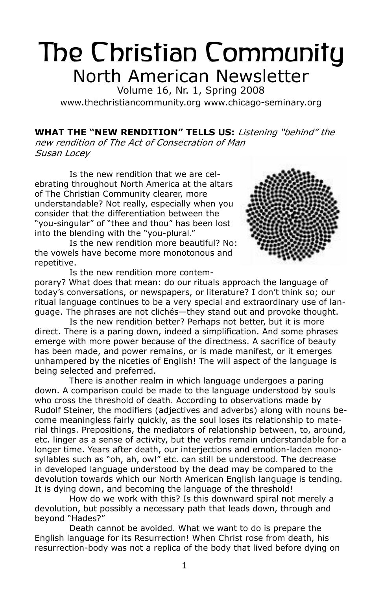# The Christian Community North American Newsletter

Volume 16, Nr. 1, Spring 2008 www.thechristiancommunity.org www.chicago-seminary.org

**What the "New Rendition" Tells Us:** Listening "behind" the new rendition of The Act of Consecration of Man Susan Locey

Is the new rendition that we are celebrating throughout North America at the altars of The Christian Community clearer, more understandable? Not really, especially when you consider that the differentiation between the "you-singular" of "thee and thou" has been lost into the blending with the "you-plural."

Is the new rendition more beautiful? No: the vowels have become more monotonous and repetitive.

Is the new rendition more contem-



porary? What does that mean: do our rituals approach the language of today's conversations, or newspapers, or literature? I don't think so; our ritual language continues to be a very special and extraordinary use of language. The phrases are not clichés—they stand out and provoke thought.

Is the new rendition better? Perhaps not better, but it is more direct. There is a paring down, indeed a simplification. And some phrases emerge with more power because of the directness. A sacrifice of beauty has been made, and power remains, or is made manifest, or it emerges unhampered by the niceties of English! The will aspect of the language is being selected and preferred.

There is another realm in which language undergoes a paring down. A comparison could be made to the language understood by souls who cross the threshold of death. According to observations made by Rudolf Steiner, the modifiers (adjectives and adverbs) along with nouns become meaningless fairly quickly, as the soul loses its relationship to material things. Prepositions, the mediators of relationship between, to, around, etc. linger as a sense of activity, but the verbs remain understandable for a longer time. Years after death, our interjections and emotion-laden monosyllables such as "oh, ah, ow!" etc. can still be understood. The decrease in developed language understood by the dead may be compared to the devolution towards which our North American English language is tending. It is dying down, and becoming the language of the threshold!

How do we work with this? Is this downward spiral not merely a devolution, but possibly a necessary path that leads down, through and beyond "Hades?"

Death cannot be avoided. What we want to do is prepare the English language for its Resurrection! When Christ rose from death, his resurrection-body was not a replica of the body that lived before dying on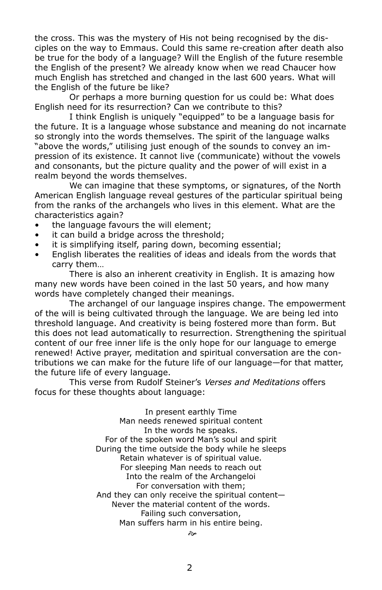the cross. This was the mystery of His not being recognised by the disciples on the way to Emmaus. Could this same re-creation after death also be true for the body of a language? Will the English of the future resemble the English of the present? We already know when we read Chaucer how much English has stretched and changed in the last 600 years. What will the English of the future be like?

Or perhaps a more burning question for us could be: What does English need for its resurrection? Can we contribute to this?

I think English is uniquely "equipped" to be a language basis for the future. It is a language whose substance and meaning do not incarnate so strongly into the words themselves. The spirit of the language walks "above the words," utilising just enough of the sounds to convey an impression of its existence. It cannot live (communicate) without the vowels and consonants, but the picture quality and the power of will exist in a realm beyond the words themselves.

We can imagine that these symptoms, or signatures, of the North American English language reveal gestures of the particular spiritual being from the ranks of the archangels who lives in this element. What are the characteristics again?

- the language favours the will element; •
- it can build a bridge across the threshold; •
- it is simplifying itself, paring down, becoming essential; •
- English liberates the realities of ideas and ideals from the words that carry them… •

There is also an inherent creativity in English. It is amazing how many new words have been coined in the last 50 years, and how many words have completely changed their meanings.

The archangel of our language inspires change. The empowerment of the will is being cultivated through the language. We are being led into threshold language. And creativity is being fostered more than form. But this does not lead automatically to resurrection. Strengthening the spiritual content of our free inner life is the only hope for our language to emerge renewed! Active prayer, meditation and spiritual conversation are the contributions we can make for the future life of our language—for that matter, the future life of every language.

This verse from Rudolf Steiner's Verses and Meditations offers focus for these thoughts about language:

> In present earthly Time Man needs renewed spiritual content In the words he speaks. For of the spoken word Man's soul and spirit During the time outside the body while he sleeps Retain whatever is of spiritual value. For sleeping Man needs to reach out Into the realm of the Archangeloi For conversation with them; And they can only receive the spiritual content— Never the material content of the words. Failing such conversation, Man suffers harm in his entire being.

> > $\sim$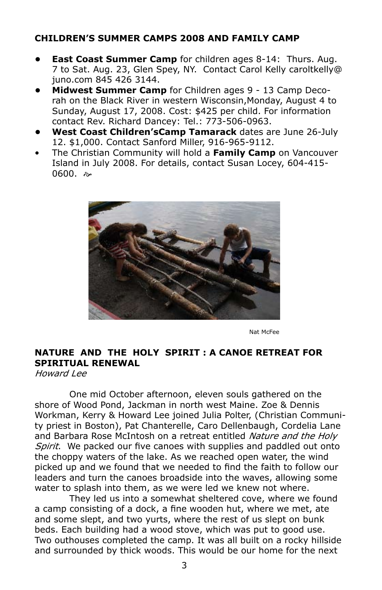## **Children's Summer Camps 2008 and Family Camp**

- **East Coast Summer Camp** for children ages 8-14: Thurs. Aug. 7 to Sat. Aug. 23, Glen Spey, NY. Contact Carol Kelly caroltkelly@ juno.com 845 426 3144. **•**
- **Midwest Summer Camp** for Children ages 9 13 Camp Decorah on the Black River in western Wisconsin,Monday, August 4 to Sunday, August 17, 2008. Cost: \$425 per child. For information contact Rev. Richard Dancey: Tel.: 773-506-0963. **•**
- **West Coast Children'sCamp Tamarack** dates are June 26-July 12. \$1,000. Contact Sanford Miller, 916-965-9112. **•**
- The Christian Community will hold a **Family Camp** on Vancouver Island in July 2008. For details, contact Susan Locey, 604-415- 0600. a •



Nat McFee

## **Nature and the Holy Spirit : a Canoe Retreat for Spiritual Renewal**

Howard Lee

One mid October afternoon, eleven souls gathered on the shore of Wood Pond, Jackman in north west Maine. Zoe & Dennis Workman, Kerry & Howard Lee joined Julia Polter, (Christian Community priest in Boston), Pat Chanterelle, Caro Dellenbaugh, Cordelia Lane and Barbara Rose McIntosh on a retreat entitled Nature and the Holy Spirit. We packed our five canoes with supplies and paddled out onto the choppy waters of the lake. As we reached open water, the wind picked up and we found that we needed to find the faith to follow our leaders and turn the canoes broadside into the waves, allowing some water to splash into them, as we were led we knew not where.

They led us into a somewhat sheltered cove, where we found a camp consisting of a dock, a fine wooden hut, where we met, ate and some slept, and two yurts, where the rest of us slept on bunk beds. Each building had a wood stove, which was put to good use. Two outhouses completed the camp. It was all built on a rocky hillside and surrounded by thick woods. This would be our home for the next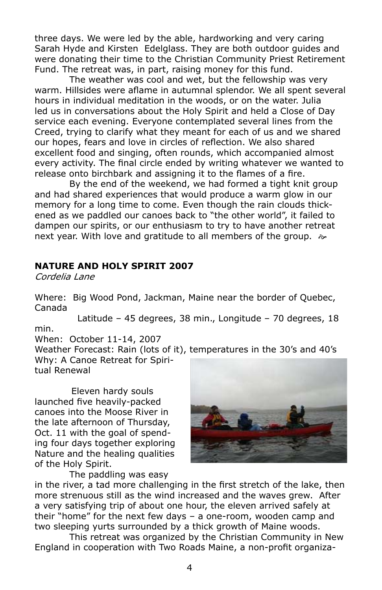three days. We were led by the able, hardworking and very caring Sarah Hyde and Kirsten Edelglass. They are both outdoor guides and were donating their time to the Christian Community Priest Retirement Fund. The retreat was, in part, raising money for this fund.

The weather was cool and wet, but the fellowship was very warm. Hillsides were aflame in autumnal splendor. We all spent several hours in individual meditation in the woods, or on the water. Julia led us in conversations about the Holy Spirit and held a Close of Day service each evening. Everyone contemplated several lines from the Creed, trying to clarify what they meant for each of us and we shared our hopes, fears and love in circles of reflection. We also shared excellent food and singing, often rounds, which accompanied almost every activity. The final circle ended by writing whatever we wanted to release onto birchbark and assigning it to the flames of a fire.

By the end of the weekend, we had formed a tight knit group and had shared experiences that would produce a warm glow in our memory for a long time to come. Even though the rain clouds thickened as we paddled our canoes back to "the other world", it failed to dampen our spirits, or our enthusiasm to try to have another retreat next year. With love and gratitude to all members of the group.  $\gg$ 

### **NATURE AND HOLY SPIRIT 2007**

Cordelia Lane

Where: Big Wood Pond, Jackman, Maine near the border of Quebec, Canada

 Latitude – 45 degrees, 38 min., Longitude – 70 degrees, 18 min.

When: October 11-14, 2007

Weather Forecast: Rain (lots of it), temperatures in the 30's and 40's Why: A Canoe Retreat for Spiri-

tual Renewal

 Eleven hardy souls launched five heavily-packed canoes into the Moose River in the late afternoon of Thursday, Oct. 11 with the goal of spending four days together exploring Nature and the healing qualities of the Holy Spirit.

The paddling was easy



in the river, a tad more challenging in the first stretch of the lake, then more strenuous still as the wind increased and the waves grew. After a very satisfying trip of about one hour, the eleven arrived safely at their "home" for the next few days – a one-room, wooden camp and two sleeping yurts surrounded by a thick growth of Maine woods.

This retreat was organized by the Christian Community in New England in cooperation with Two Roads Maine, a non-profit organiza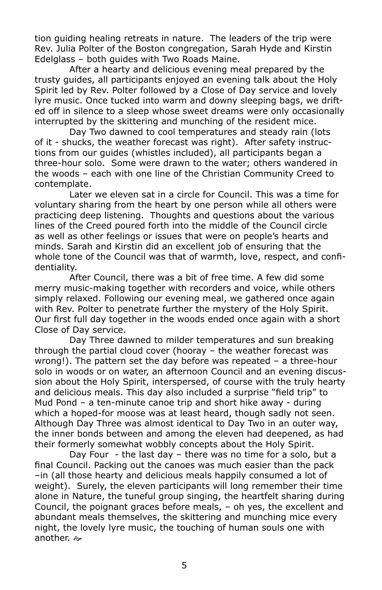tion guiding healing retreats in nature. The leaders of the trip were Rev. Julia Polter of the Boston congregation, Sarah Hyde and Kirstin Edelglass – both guides with Two Roads Maine.

After a hearty and delicious evening meal prepared by the trusty guides, all participants enjoyed an evening talk about the Holy Spirit led by Rev. Polter followed by a Close of Day service and lovely lyre music. Once tucked into warm and downy sleeping bags, we drifted off in silence to a sleep whose sweet dreams were only occasionally interrupted by the skittering and munching of the resident mice.

Day Two dawned to cool temperatures and steady rain (lots of it - shucks, the weather forecast was right). After safety instructions from our guides (whistles included), all participants began a three-hour solo. Some were drawn to the water; others wandered in the woods – each with one line of the Christian Community Creed to contemplate.

Later we eleven sat in a circle for Council. This was a time for voluntary sharing from the heart by one person while all others were practicing deep listening. Thoughts and questions about the various lines of the Creed poured forth into the middle of the Council circle as well as other feelings or issues that were on people's hearts and minds. Sarah and Kirstin did an excellent job of ensuring that the whole tone of the Council was that of warmth, love, respect, and confidentiality.

After Council, there was a bit of free time. A few did some merry music-making together with recorders and voice, while others simply relaxed. Following our evening meal, we gathered once again with Rev. Polter to penetrate further the mystery of the Holy Spirit. Our first full day together in the woods ended once again with a short Close of Day service.

Day Three dawned to milder temperatures and sun breaking through the partial cloud cover (hooray – the weather forecast was wrong!). The pattern set the day before was repeated – a three-hour solo in woods or on water, an afternoon Council and an evening discussion about the Holy Spirit, interspersed, of course with the truly hearty and delicious meals. This day also included a surprise "field trip" to Mud Pond – a ten-minute canoe trip and short hike away - during which a hoped-for moose was at least heard, though sadly not seen. Although Day Three was almost identical to Day Two in an outer way, the inner bonds between and among the eleven had deepened, as had their formerly somewhat wobbly concepts about the Holy Spirit.

Day Four - the last day – there was no time for a solo, but a final Council. Packing out the canoes was much easier than the pack –in (all those hearty and delicious meals happily consumed a lot of weight). Surely, the eleven participants will long remember their time alone in Nature, the tuneful group singing, the heartfelt sharing during Council, the poignant graces before meals, – oh yes, the excellent and abundant meals themselves, the skittering and munching mice every night, the lovely lyre music, the touching of human souls one with another.  $\approx$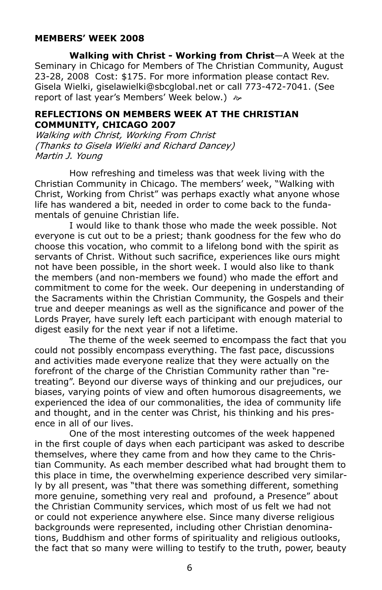## **Members' Week 2008**

**Walking with Christ - Working from Christ**—A Week at the Seminary in Chicago for Members of The Christian Community, August 23-28, 2008 Cost: \$175. For more information please contact Rev. Gisela Wielki, giselawielki@sbcglobal.net or call 773-472-7041. (See report of last year's Members' Week below.)  $\approx$ 

#### **Reflections on Members Week at the Christian Community, Chicago 2007**

Walking with Christ, Working From Christ (Thanks to Gisela Wielki and Richard Dancey) Martin J. Young

How refreshing and timeless was that week living with the Christian Community in Chicago. The members' week, "Walking with Christ, Working from Christ" was perhaps exactly what anyone whose life has wandered a bit, needed in order to come back to the fundamentals of genuine Christian life.

I would like to thank those who made the week possible. Not everyone is cut out to be a priest; thank goodness for the few who do choose this vocation, who commit to a lifelong bond with the spirit as servants of Christ. Without such sacrifice, experiences like ours might not have been possible, in the short week. I would also like to thank the members (and non-members we found) who made the effort and commitment to come for the week. Our deepening in understanding of the Sacraments within the Christian Community, the Gospels and their true and deeper meanings as well as the significance and power of the Lords Prayer, have surely left each participant with enough material to digest easily for the next year if not a lifetime.

 The theme of the week seemed to encompass the fact that you could not possibly encompass everything. The fast pace, discussions and activities made everyone realize that they were actually on the forefront of the charge of the Christian Community rather than "retreating". Beyond our diverse ways of thinking and our prejudices, our biases, varying points of view and often humorous disagreements, we experienced the idea of our commonalities, the idea of community life and thought, and in the center was Christ, his thinking and his presence in all of our lives.

One of the most interesting outcomes of the week happened in the first couple of days when each participant was asked to describe themselves, where they came from and how they came to the Christian Community. As each member described what had brought them to this place in time, the overwhelming experience described very similarly by all present, was "that there was something different, something more genuine, something very real and profound, a Presence" about the Christian Community services, which most of us felt we had not or could not experience anywhere else. Since many diverse religious backgrounds were represented, including other Christian denominations, Buddhism and other forms of spirituality and religious outlooks, the fact that so many were willing to testify to the truth, power, beauty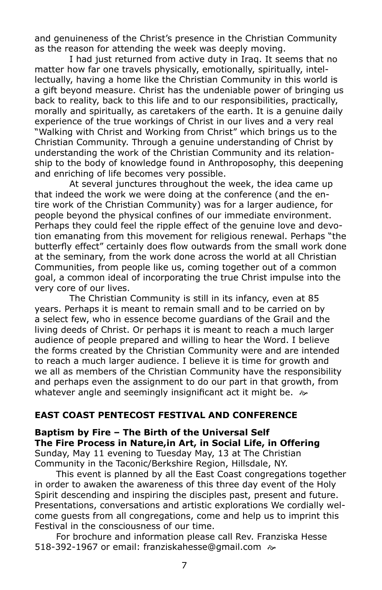and genuineness of the Christ's presence in the Christian Community as the reason for attending the week was deeply moving.

I had just returned from active duty in Iraq. It seems that no matter how far one travels physically, emotionally, spiritually, intellectually, having a home like the Christian Community in this world is a gift beyond measure. Christ has the undeniable power of bringing us back to reality, back to this life and to our responsibilities, practically, morally and spiritually, as caretakers of the earth. It is a genuine daily experience of the true workings of Christ in our lives and a very real "Walking with Christ and Working from Christ" which brings us to the Christian Community. Through a genuine understanding of Christ by understanding the work of the Christian Community and its relationship to the body of knowledge found in Anthroposophy, this deepening and enriching of life becomes very possible.

At several junctures throughout the week, the idea came up that indeed the work we were doing at the conference (and the entire work of the Christian Community) was for a larger audience, for people beyond the physical confines of our immediate environment. Perhaps they could feel the ripple effect of the genuine love and devotion emanating from this movement for religious renewal. Perhaps "the butterfly effect" certainly does flow outwards from the small work done at the seminary, from the work done across the world at all Christian Communities, from people like us, coming together out of a common goal, a common ideal of incorporating the true Christ impulse into the very core of our lives.

The Christian Community is still in its infancy, even at 85 years. Perhaps it is meant to remain small and to be carried on by a select few, who in essence become guardians of the Grail and the living deeds of Christ. Or perhaps it is meant to reach a much larger audience of people prepared and willing to hear the Word. I believe the forms created by the Christian Community were and are intended to reach a much larger audience. I believe it is time for growth and we all as members of the Christian Community have the responsibility and perhaps even the assignment to do our part in that growth, from whatever angle and seemingly insignificant act it might be.  $\gg$ 

### **East Coast Pentecost Festival and Conference**

**Baptism by Fire – The Birth of the Universal Self The Fire Process in Nature,in Art, in Social Life, in Offering** Sunday, May 11 evening to Tuesday May, 13 at The Christian Community in the Taconic/Berkshire Region, Hillsdale, NY.

 This event is planned by all the East Coast congregations together in order to awaken the awareness of this three day event of the Holy Spirit descending and inspiring the disciples past, present and future. Presentations, conversations and artistic explorations We cordially welcome guests from all congregations, come and help us to imprint this Festival in the consciousness of our time.

 For brochure and information please call Rev. Franziska Hesse 518-392-1967 or email: franziskahesse@gmail.com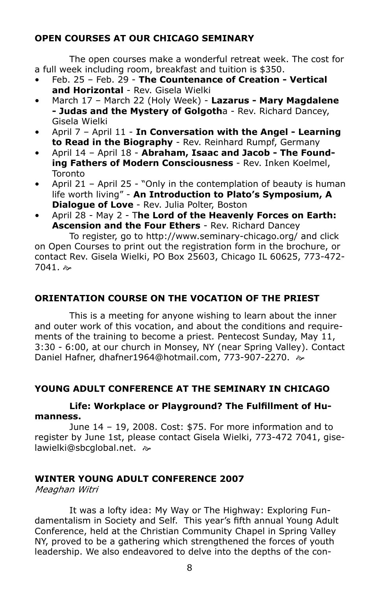## **Open Courses at Our Chicago Seminary**

The open courses make a wonderful retreat week. The cost for a full week including room, breakfast and tuition is \$350.

- Feb. 25 Feb. 29 **The Countenance of Creation Vertical and Horizontal** - Rev. Gisela Wielki •
- March 17 March 22 (Holy Week) **Lazarus Mary Magdalene - Judas and the Mystery of Golgoth**a - Rev. Richard Dancey, Gisela Wielki •
- April 7 April 11 **In Conversation with the Angel Learning to Read in the Biography** - Rev. Reinhard Rumpf, Germany •
- April 14 April 18 **Abraham, Isaac and Jacob The Founding Fathers of Modern Consciousness** - Rev. Inken Koelmel, **Toronto** •
- April 21 April 25 "Only in the contemplation of beauty is human life worth living" - **An Introduction to Plato's Symposium, A Dialogue of Love** - Rev. Julia Polter, Boston •
- April 28 May 2 T**he Lord of the Heavenly Forces on Earth: Ascension and the Four Ethers** - Rev. Richard Dancey •

To register, go to http://www.seminary-chicago.org/ and click on Open Courses to print out the registration form in the brochure, or contact Rev. Gisela Wielki, PO Box 25603, Chicago IL 60625, 773-472-  $7041.$   $\approx$ 

## **Orientation Course on the Vocation of the Priest**

This is a meeting for anyone wishing to learn about the inner and outer work of this vocation, and about the conditions and requirements of the training to become a priest. Pentecost Sunday, May 11, 3:30 - 6:00, at our church in Monsey, NY (near Spring Valley). Contact Daniel Hafner, dhafner1964@hotmail.com, 773-907-2270.

## **Young Adult Conference AT THE SEMINARY IN CHICAGO**

## **Life: Workplace or Playground? The Fulfillment of Humanness.**

June 14 – 19, 2008. Cost: \$75. For more information and to register by June 1st, please contact Gisela Wielki, 773-472 7041, giselawielki@sbcglobal.net.  $\approx$ 

## **Winter Young Adult Conference 2007**

Meaghan Witri

It was a lofty idea: My Way or The Highway: Exploring Fundamentalism in Society and Self. This year's fifth annual Young Adult Conference, held at the Christian Community Chapel in Spring Valley NY, proved to be a gathering which strengthened the forces of youth leadership. We also endeavored to delve into the depths of the con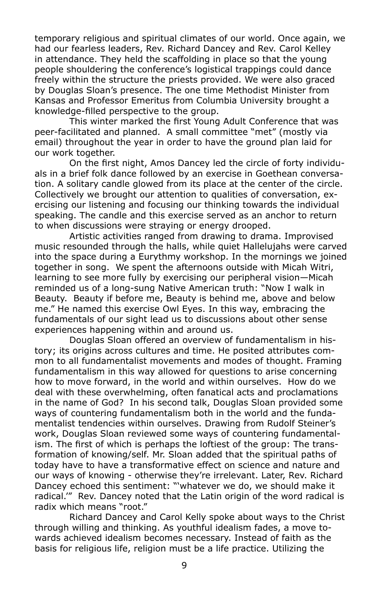temporary religious and spiritual climates of our world. Once again, we had our fearless leaders, Rev. Richard Dancey and Rev. Carol Kelley in attendance. They held the scaffolding in place so that the young people shouldering the conference's logistical trappings could dance freely within the structure the priests provided. We were also graced by Douglas Sloan's presence. The one time Methodist Minister from Kansas and Professor Emeritus from Columbia University brought a knowledge-filled perspective to the group.

This winter marked the first Young Adult Conference that was peer-facilitated and planned. A small committee "met" (mostly via email) throughout the year in order to have the ground plan laid for our work together.

On the first night, Amos Dancey led the circle of forty individuals in a brief folk dance followed by an exercise in Goethean conversation. A solitary candle glowed from its place at the center of the circle. Collectively we brought our attention to qualities of conversation, exercising our listening and focusing our thinking towards the individual speaking. The candle and this exercise served as an anchor to return to when discussions were straying or energy drooped.

Artistic activities ranged from drawing to drama. Improvised music resounded through the halls, while quiet Hallelujahs were carved into the space during a Eurythmy workshop. In the mornings we joined together in song. We spent the afternoons outside with Micah Witri, learning to see more fully by exercising our peripheral vision—Micah reminded us of a long-sung Native American truth: "Now I walk in Beauty. Beauty if before me, Beauty is behind me, above and below me." He named this exercise Owl Eyes. In this way, embracing the fundamentals of our sight lead us to discussions about other sense experiences happening within and around us.

Douglas Sloan offered an overview of fundamentalism in history; its origins across cultures and time. He posited attributes common to all fundamentalist movements and modes of thought. Framing fundamentalism in this way allowed for questions to arise concerning how to move forward, in the world and within ourselves. How do we deal with these overwhelming, often fanatical acts and proclamations in the name of God? In his second talk, Douglas Sloan provided some ways of countering fundamentalism both in the world and the fundamentalist tendencies within ourselves. Drawing from Rudolf Steiner's work, Douglas Sloan reviewed some ways of countering fundamentalism. The first of which is perhaps the loftiest of the group: The transformation of knowing/self. Mr. Sloan added that the spiritual paths of today have to have a transformative effect on science and nature and our ways of knowing - otherwise they're irrelevant. Later, Rev. Richard Dancey echoed this sentiment: "'whatever we do, we should make it radical.'" Rev. Dancey noted that the Latin origin of the word radical is radix which means "root."

Richard Dancey and Carol Kelly spoke about ways to the Christ through willing and thinking. As youthful idealism fades, a move towards achieved idealism becomes necessary. Instead of faith as the basis for religious life, religion must be a life practice. Utilizing the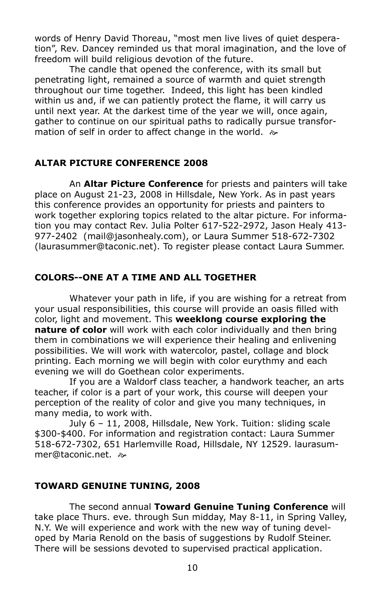words of Henry David Thoreau, "most men live lives of quiet desperation", Rev. Dancey reminded us that moral imagination, and the love of freedom will build religious devotion of the future.

The candle that opened the conference, with its small but penetrating light, remained a source of warmth and quiet strength throughout our time together. Indeed, this light has been kindled within us and, if we can patiently protect the flame, it will carry us until next year. At the darkest time of the year we will, once again, gather to continue on our spiritual paths to radically pursue transformation of self in order to affect change in the world.  $\gg$ 

## **Altar Picture Conference 2008**

An **Altar Picture Conference** for priests and painters will take place on August 21-23, 2008 in Hillsdale, New York. As in past years this conference provides an opportunity for priests and painters to work together exploring topics related to the altar picture. For information you may contact Rev. Julia Polter 617-522-2972, Jason Healy 413- 977-2402 (mail@jasonhealy.com), or Laura Summer 518-672-7302 (laurasummer@taconic.net). To register please contact Laura Summer.

## **Colors--One at a time and all together**

Whatever your path in life, if you are wishing for a retreat from your usual responsibilities, this course will provide an oasis filled with color, light and movement. This **weeklong course exploring the nature of color** will work with each color individually and then bring them in combinations we will experience their healing and enlivening possibilities. We will work with watercolor, pastel, collage and block printing. Each morning we will begin with color eurythmy and each evening we will do Goethean color experiments.

If you are a Waldorf class teacher, a handwork teacher, an arts teacher, if color is a part of your work, this course will deepen your perception of the reality of color and give you many techniques, in many media, to work with.

July 6 – 11, 2008, Hillsdale, New York. Tuition: sliding scale \$300-\$400. For information and registration contact: Laura Summer 518-672-7302, 651 Harlemville Road, Hillsdale, NY 12529. laurasummer@taconic.net. a

### **Toward Genuine Tuning, 2008**

The second annual **Toward Genuine Tuning Conference** will take place Thurs. eve. through Sun midday, May 8-11, in Spring Valley, N.Y. We will experience and work with the new way of tuning developed by Maria Renold on the basis of suggestions by Rudolf Steiner. There will be sessions devoted to supervised practical application.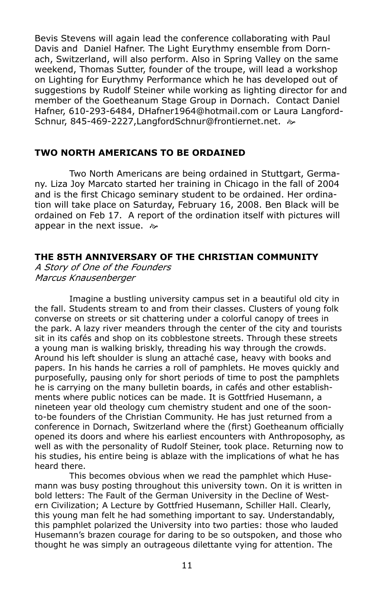Bevis Stevens will again lead the conference collaborating with Paul Davis and Daniel Hafner. The Light Eurythmy ensemble from Dornach, Switzerland, will also perform. Also in Spring Valley on the same weekend, Thomas Sutter, founder of the troupe, will lead a workshop on Lighting for Eurythmy Performance which he has developed out of suggestions by Rudolf Steiner while working as lighting director for and member of the Goetheanum Stage Group in Dornach. Contact Daniel Hafner, 610-293-6484, DHafner1964@hotmail.com or Laura Langford-Schnur, 845-469-2227.LangfordSchnur@frontiernet.net. a>

### **Two North Americans to be Ordained**

Two North Americans are being ordained in Stuttgart, Germany. Liza Joy Marcato started her training in Chicago in the fall of 2004 and is the first Chicago seminary student to be ordained. Her ordination will take place on Saturday, February 16, 2008. Ben Black will be ordained on Feb 17. A report of the ordination itself with pictures will appear in the next issue.  $\approx$ 

## **The 85th Anniversary of the Christian Community**

A Story of One of the Founders Marcus Knausenberger

Imagine a bustling university campus set in a beautiful old city in the fall. Students stream to and from their classes. Clusters of young folk converse on streets or sit chattering under a colorful canopy of trees in the park. A lazy river meanders through the center of the city and tourists sit in its cafés and shop on its cobblestone streets. Through these streets a young man is walking briskly, threading his way through the crowds. Around his left shoulder is slung an attaché case, heavy with books and papers. In his hands he carries a roll of pamphlets. He moves quickly and purposefully, pausing only for short periods of time to post the pamphlets he is carrying on the many bulletin boards, in cafés and other establishments where public notices can be made. It is Gottfried Husemann, a nineteen year old theology cum chemistry student and one of the soonto-be founders of the Christian Community. He has just returned from a conference in Dornach, Switzerland where the (first) Goetheanum officially opened its doors and where his earliest encounters with Anthroposophy, as well as with the personality of Rudolf Steiner, took place. Returning now to his studies, his entire being is ablaze with the implications of what he has heard there.

This becomes obvious when we read the pamphlet which Husemann was busy posting throughout this university town. On it is written in bold letters: The Fault of the German University in the Decline of Western Civilization; A Lecture by Gottfried Husemann, Schiller Hall. Clearly, this young man felt he had something important to say. Understandably, this pamphlet polarized the University into two parties: those who lauded Husemann's brazen courage for daring to be so outspoken, and those who thought he was simply an outrageous dilettante vying for attention. The